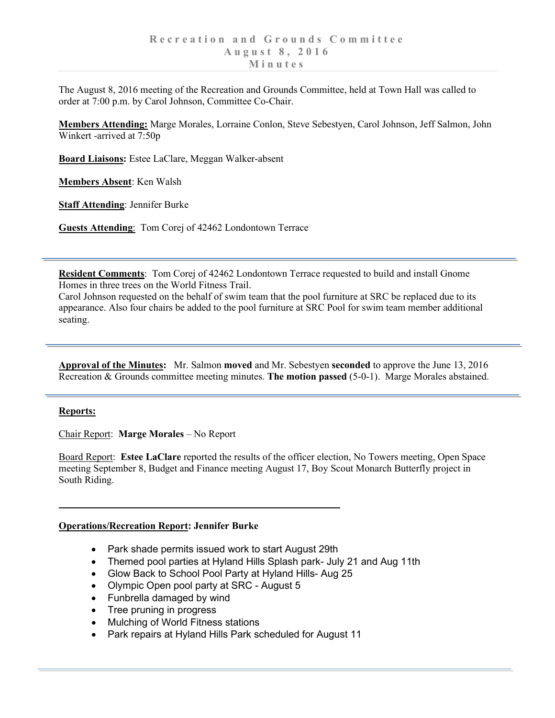The August 8, 2016 meeting of the Recreation and Grounds Committee, held at Town Hall was called to order at 7:00 p.m. by Carol Johnson, Committee Co-Chair.

**Members Attending:** Marge Morales, Lorraine Conlon, Steve Sebestyen, Carol Johnson, Jeff Salmon, John Winkert -arrived at 7:50p

**Board Liaisons:** Estee LaClare, Meggan Walker-absent

**Members Absent**: Ken Walsh

**Staff Attending**: Jennifer Burke

**Guests Attending**: Tom Corej of 42462 Londontown Terrace

**Resident Comments**: Tom Corej of 42462 Londontown Terrace requested to build and install Gnome Homes in three trees on the World Fitness Trail.

Carol Johnson requested on the behalf of swim team that the pool furniture at SRC be replaced due to its appearance. Also four chairs be added to the pool furniture at SRC Pool for swim team member additional seating.

**Approval of the Minutes:** Mr. Salmon **moved** and Mr. Sebestyen **seconded** to approve the June 13, 2016 Recreation & Grounds committee meeting minutes. **The motion passed** (5-0-1). Marge Morales abstained.

## **Reports:**

Chair Report: **Marge Morales** – No Report

Board Report: **Estee LaClare** reported the results of the officer election, No Towers meeting, Open Space meeting September 8, Budget and Finance meeting August 17, Boy Scout Monarch Butterfly project in South Riding.

## **Operations/Recreation Report: Jennifer Burke**

- Park shade permits issued work to start August 29th
- Themed pool parties at Hyland Hills Splash park- July 21 and Aug 11th
- Glow Back to School Pool Party at Hyland Hills- Aug 25
- Olympic Open pool party at SRC August 5
- Funbrella damaged by wind
- Tree pruning in progress
- Mulching of World Fitness stations
- Park repairs at Hyland Hills Park scheduled for August 11